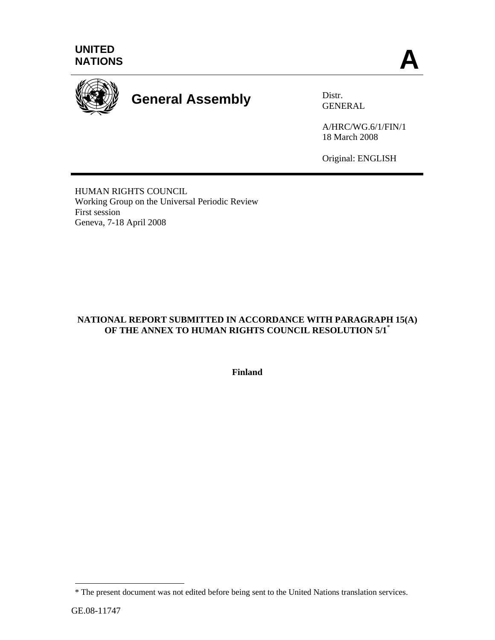



# **General Assembly** Distr.

GENERAL

A/HRC/WG.6/1/FIN/1 18 March 2008

Original: ENGLISH

HUMAN RIGHTS COUNCIL Working Group on the Universal Periodic Review First session Geneva, 7-18 April 2008

# **NATIONAL REPORT SUBMITTED IN ACCORDANCE WITH PARAGRAPH 15(A) OF THE ANNEX TO HUMAN RIGHTS COUNCIL RESOLUTION 5/1**\*

**Finland**

 $\overline{a}$ 

<sup>\*</sup> The present document was not edited before being sent to the United Nations translation services.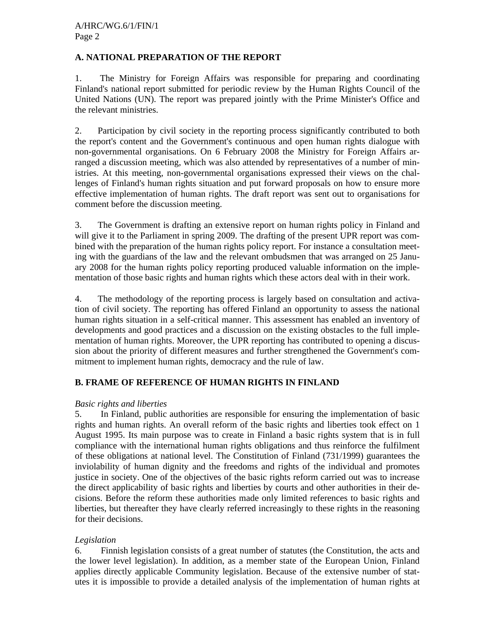## **A. NATIONAL PREPARATION OF THE REPORT**

1. The Ministry for Foreign Affairs was responsible for preparing and coordinating Finland's national report submitted for periodic review by the Human Rights Council of the United Nations (UN). The report was prepared jointly with the Prime Minister's Office and the relevant ministries.

2. Participation by civil society in the reporting process significantly contributed to both the report's content and the Government's continuous and open human rights dialogue with non-governmental organisations. On 6 February 2008 the Ministry for Foreign Affairs arranged a discussion meeting, which was also attended by representatives of a number of ministries. At this meeting, non-governmental organisations expressed their views on the challenges of Finland's human rights situation and put forward proposals on how to ensure more effective implementation of human rights. The draft report was sent out to organisations for comment before the discussion meeting.

3. The Government is drafting an extensive report on human rights policy in Finland and will give it to the Parliament in spring 2009. The drafting of the present UPR report was combined with the preparation of the human rights policy report. For instance a consultation meeting with the guardians of the law and the relevant ombudsmen that was arranged on 25 January 2008 for the human rights policy reporting produced valuable information on the implementation of those basic rights and human rights which these actors deal with in their work.

4. The methodology of the reporting process is largely based on consultation and activation of civil society. The reporting has offered Finland an opportunity to assess the national human rights situation in a self-critical manner. This assessment has enabled an inventory of developments and good practices and a discussion on the existing obstacles to the full implementation of human rights. Moreover, the UPR reporting has contributed to opening a discussion about the priority of different measures and further strengthened the Government's commitment to implement human rights, democracy and the rule of law.

# **B. FRAME OF REFERENCE OF HUMAN RIGHTS IN FINLAND**

## *Basic rights and liberties*

5. In Finland, public authorities are responsible for ensuring the implementation of basic rights and human rights. An overall reform of the basic rights and liberties took effect on 1 August 1995. Its main purpose was to create in Finland a basic rights system that is in full compliance with the international human rights obligations and thus reinforce the fulfilment of these obligations at national level. The Constitution of Finland (731/1999) guarantees the inviolability of human dignity and the freedoms and rights of the individual and promotes justice in society. One of the objectives of the basic rights reform carried out was to increase the direct applicability of basic rights and liberties by courts and other authorities in their decisions. Before the reform these authorities made only limited references to basic rights and liberties, but thereafter they have clearly referred increasingly to these rights in the reasoning for their decisions.

## *Legislation*

6. Finnish legislation consists of a great number of statutes (the Constitution, the acts and the lower level legislation). In addition, as a member state of the European Union, Finland applies directly applicable Community legislation. Because of the extensive number of statutes it is impossible to provide a detailed analysis of the implementation of human rights at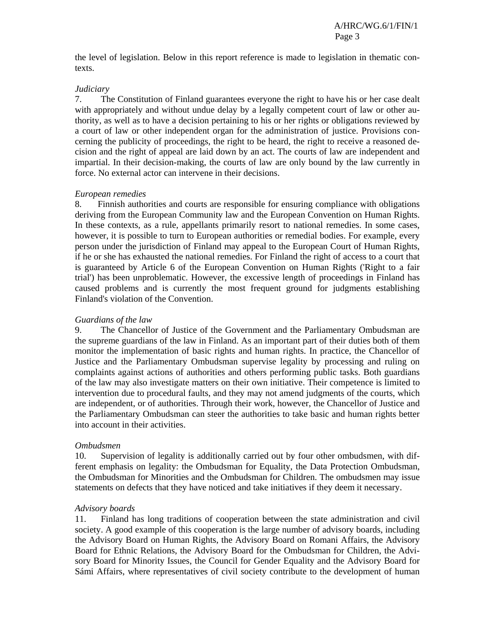the level of legislation. Below in this report reference is made to legislation in thematic contexts.

### *Judiciary*

7. The Constitution of Finland guarantees everyone the right to have his or her case dealt with appropriately and without undue delay by a legally competent court of law or other authority, as well as to have a decision pertaining to his or her rights or obligations reviewed by a court of law or other independent organ for the administration of justice. Provisions concerning the publicity of proceedings, the right to be heard, the right to receive a reasoned decision and the right of appeal are laid down by an act. The courts of law are independent and impartial. In their decision-making, the courts of law are only bound by the law currently in force. No external actor can intervene in their decisions.

### *European remedies*

8. Finnish authorities and courts are responsible for ensuring compliance with obligations deriving from the European Community law and the European Convention on Human Rights. In these contexts, as a rule, appellants primarily resort to national remedies. In some cases, however, it is possible to turn to European authorities or remedial bodies. For example, every person under the jurisdiction of Finland may appeal to the European Court of Human Rights, if he or she has exhausted the national remedies. For Finland the right of access to a court that is guaranteed by Article 6 of the European Convention on Human Rights ('Right to a fair trial') has been unproblematic. However, the excessive length of proceedings in Finland has caused problems and is currently the most frequent ground for judgments establishing Finland's violation of the Convention.

#### *Guardians of the law*

9. The Chancellor of Justice of the Government and the Parliamentary Ombudsman are the supreme guardians of the law in Finland. As an important part of their duties both of them monitor the implementation of basic rights and human rights. In practice, the Chancellor of Justice and the Parliamentary Ombudsman supervise legality by processing and ruling on complaints against actions of authorities and others performing public tasks. Both guardians of the law may also investigate matters on their own initiative. Their competence is limited to intervention due to procedural faults, and they may not amend judgments of the courts, which are independent, or of authorities. Through their work, however, the Chancellor of Justice and the Parliamentary Ombudsman can steer the authorities to take basic and human rights better into account in their activities.

#### *Ombudsmen*

10. Supervision of legality is additionally carried out by four other ombudsmen, with different emphasis on legality: the Ombudsman for Equality, the Data Protection Ombudsman, the Ombudsman for Minorities and the Ombudsman for Children. The ombudsmen may issue statements on defects that they have noticed and take initiatives if they deem it necessary.

### *Advisory boards*

11. Finland has long traditions of cooperation between the state administration and civil society. A good example of this cooperation is the large number of advisory boards, including the Advisory Board on Human Rights, the Advisory Board on Romani Affairs, the Advisory Board for Ethnic Relations, the Advisory Board for the Ombudsman for Children, the Advisory Board for Minority Issues, the Council for Gender Equality and the Advisory Board for Sámi Affairs, where representatives of civil society contribute to the development of human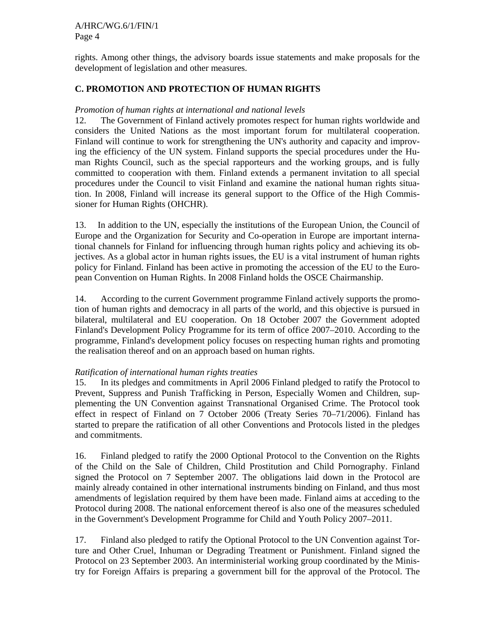rights. Among other things, the advisory boards issue statements and make proposals for the development of legislation and other measures.

## **C. PROMOTION AND PROTECTION OF HUMAN RIGHTS**

## *Promotion of human rights at international and national levels*

12. The Government of Finland actively promotes respect for human rights worldwide and considers the United Nations as the most important forum for multilateral cooperation. Finland will continue to work for strengthening the UN's authority and capacity and improving the efficiency of the UN system. Finland supports the special procedures under the Human Rights Council, such as the special rapporteurs and the working groups, and is fully committed to cooperation with them. Finland extends a permanent invitation to all special procedures under the Council to visit Finland and examine the national human rights situation. In 2008, Finland will increase its general support to the Office of the High Commissioner for Human Rights (OHCHR).

13. In addition to the UN, especially the institutions of the European Union, the Council of Europe and the Organization for Security and Co-operation in Europe are important international channels for Finland for influencing through human rights policy and achieving its objectives. As a global actor in human rights issues, the EU is a vital instrument of human rights policy for Finland. Finland has been active in promoting the accession of the EU to the European Convention on Human Rights. In 2008 Finland holds the OSCE Chairmanship.

14. According to the current Government programme Finland actively supports the promotion of human rights and democracy in all parts of the world, and this objective is pursued in bilateral, multilateral and EU cooperation. On 18 October 2007 the Government adopted Finland's Development Policy Programme for its term of office 2007–2010. According to the programme, Finland's development policy focuses on respecting human rights and promoting the realisation thereof and on an approach based on human rights.

### *Ratification of international human rights treaties*

15. In its pledges and commitments in April 2006 Finland pledged to ratify the Protocol to Prevent, Suppress and Punish Trafficking in Person, Especially Women and Children, supplementing the UN Convention against Transnational Organised Crime. The Protocol took effect in respect of Finland on 7 October 2006 (Treaty Series 70–71/2006). Finland has started to prepare the ratification of all other Conventions and Protocols listed in the pledges and commitments.

16. Finland pledged to ratify the 2000 Optional Protocol to the Convention on the Rights of the Child on the Sale of Children, Child Prostitution and Child Pornography. Finland signed the Protocol on 7 September 2007. The obligations laid down in the Protocol are mainly already contained in other international instruments binding on Finland, and thus most amendments of legislation required by them have been made. Finland aims at acceding to the Protocol during 2008. The national enforcement thereof is also one of the measures scheduled in the Government's Development Programme for Child and Youth Policy 2007–2011.

17. Finland also pledged to ratify the Optional Protocol to the UN Convention against Torture and Other Cruel, Inhuman or Degrading Treatment or Punishment. Finland signed the Protocol on 23 September 2003. An interministerial working group coordinated by the Ministry for Foreign Affairs is preparing a government bill for the approval of the Protocol. The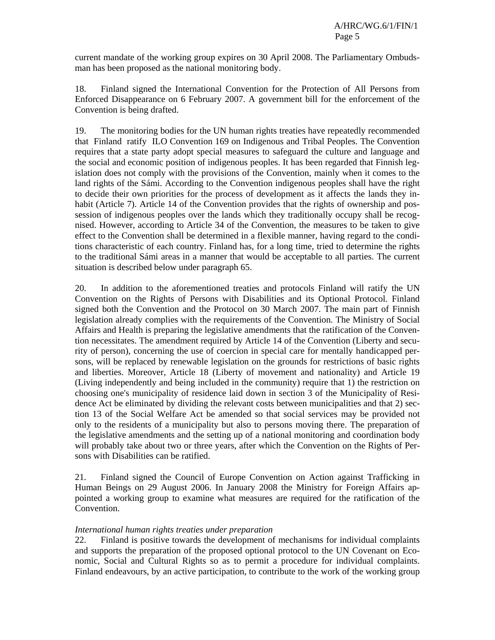current mandate of the working group expires on 30 April 2008. The Parliamentary Ombudsman has been proposed as the national monitoring body.

18. Finland signed the International Convention for the Protection of All Persons from Enforced Disappearance on 6 February 2007. A government bill for the enforcement of the Convention is being drafted.

19. The monitoring bodies for the UN human rights treaties have repeatedly recommended that Finland ratify ILO Convention 169 on Indigenous and Tribal Peoples. The Convention requires that a state party adopt special measures to safeguard the culture and language and the social and economic position of indigenous peoples. It has been regarded that Finnish legislation does not comply with the provisions of the Convention, mainly when it comes to the land rights of the Sámi. According to the Convention indigenous peoples shall have the right to decide their own priorities for the process of development as it affects the lands they inhabit (Article 7). Article 14 of the Convention provides that the rights of ownership and possession of indigenous peoples over the lands which they traditionally occupy shall be recognised. However, according to Article 34 of the Convention, the measures to be taken to give effect to the Convention shall be determined in a flexible manner, having regard to the conditions characteristic of each country. Finland has, for a long time, tried to determine the rights to the traditional Sámi areas in a manner that would be acceptable to all parties. The current situation is described below under paragraph 65.

20. In addition to the aforementioned treaties and protocols Finland will ratify the UN Convention on the Rights of Persons with Disabilities and its Optional Protocol. Finland signed both the Convention and the Protocol on 30 March 2007. The main part of Finnish legislation already complies with the requirements of the Convention. The Ministry of Social Affairs and Health is preparing the legislative amendments that the ratification of the Convention necessitates. The amendment required by Article 14 of the Convention (Liberty and security of person), concerning the use of coercion in special care for mentally handicapped persons, will be replaced by renewable legislation on the grounds for restrictions of basic rights and liberties. Moreover, Article 18 (Liberty of movement and nationality) and Article 19 (Living independently and being included in the community) require that 1) the restriction on choosing one's municipality of residence laid down in section 3 of the Municipality of Residence Act be eliminated by dividing the relevant costs between municipalities and that 2) section 13 of the Social Welfare Act be amended so that social services may be provided not only to the residents of a municipality but also to persons moving there. The preparation of the legislative amendments and the setting up of a national monitoring and coordination body will probably take about two or three years, after which the Convention on the Rights of Persons with Disabilities can be ratified.

21. Finland signed the Council of Europe Convention on Action against Trafficking in Human Beings on 29 August 2006. In January 2008 the Ministry for Foreign Affairs appointed a working group to examine what measures are required for the ratification of the Convention.

### *International human rights treaties under preparation*

22. Finland is positive towards the development of mechanisms for individual complaints and supports the preparation of the proposed optional protocol to the UN Covenant on Economic, Social and Cultural Rights so as to permit a procedure for individual complaints. Finland endeavours, by an active participation, to contribute to the work of the working group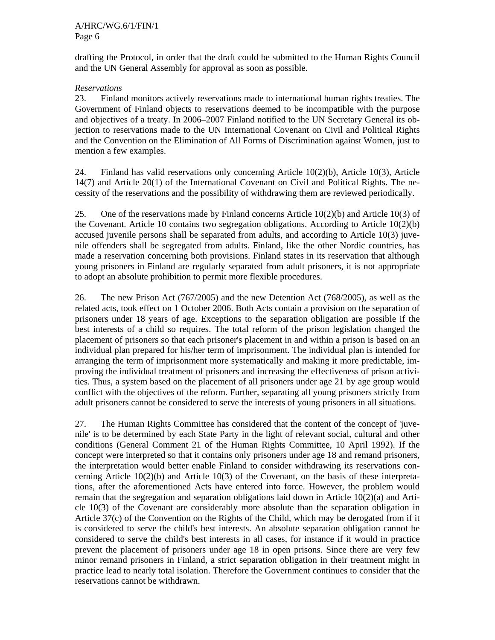drafting the Protocol, in order that the draft could be submitted to the Human Rights Council and the UN General Assembly for approval as soon as possible.

## *Reservations*

23. Finland monitors actively reservations made to international human rights treaties. The Government of Finland objects to reservations deemed to be incompatible with the purpose and objectives of a treaty. In 2006–2007 Finland notified to the UN Secretary General its objection to reservations made to the UN International Covenant on Civil and Political Rights and the Convention on the Elimination of All Forms of Discrimination against Women, just to mention a few examples.

24. Finland has valid reservations only concerning Article 10(2)(b), Article 10(3), Article 14(7) and Article 20(1) of the International Covenant on Civil and Political Rights. The necessity of the reservations and the possibility of withdrawing them are reviewed periodically.

25. One of the reservations made by Finland concerns Article 10(2)(b) and Article 10(3) of the Covenant. Article 10 contains two segregation obligations. According to Article 10(2)(b) accused juvenile persons shall be separated from adults, and according to Article 10(3) juvenile offenders shall be segregated from adults. Finland, like the other Nordic countries, has made a reservation concerning both provisions. Finland states in its reservation that although young prisoners in Finland are regularly separated from adult prisoners, it is not appropriate to adopt an absolute prohibition to permit more flexible procedures.

26. The new Prison Act (767/2005) and the new Detention Act (768/2005), as well as the related acts, took effect on 1 October 2006. Both Acts contain a provision on the separation of prisoners under 18 years of age. Exceptions to the separation obligation are possible if the best interests of a child so requires. The total reform of the prison legislation changed the placement of prisoners so that each prisoner's placement in and within a prison is based on an individual plan prepared for his/her term of imprisonment. The individual plan is intended for arranging the term of imprisonment more systematically and making it more predictable, improving the individual treatment of prisoners and increasing the effectiveness of prison activities. Thus, a system based on the placement of all prisoners under age 21 by age group would conflict with the objectives of the reform. Further, separating all young prisoners strictly from adult prisoners cannot be considered to serve the interests of young prisoners in all situations.

27. The Human Rights Committee has considered that the content of the concept of 'juvenile' is to be determined by each State Party in the light of relevant social, cultural and other conditions (General Comment 21 of the Human Rights Committee, 10 April 1992). If the concept were interpreted so that it contains only prisoners under age 18 and remand prisoners, the interpretation would better enable Finland to consider withdrawing its reservations concerning Article 10(2)(b) and Article 10(3) of the Covenant, on the basis of these interpretations, after the aforementioned Acts have entered into force. However, the problem would remain that the segregation and separation obligations laid down in Article 10(2)(a) and Article 10(3) of the Covenant are considerably more absolute than the separation obligation in Article 37(c) of the Convention on the Rights of the Child, which may be derogated from if it is considered to serve the child's best interests. An absolute separation obligation cannot be considered to serve the child's best interests in all cases, for instance if it would in practice prevent the placement of prisoners under age 18 in open prisons. Since there are very few minor remand prisoners in Finland, a strict separation obligation in their treatment might in practice lead to nearly total isolation. Therefore the Government continues to consider that the reservations cannot be withdrawn.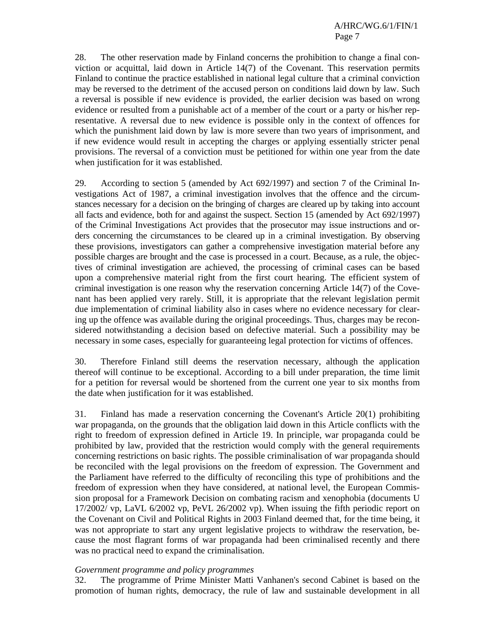28. The other reservation made by Finland concerns the prohibition to change a final conviction or acquittal, laid down in Article 14(7) of the Covenant. This reservation permits Finland to continue the practice established in national legal culture that a criminal conviction may be reversed to the detriment of the accused person on conditions laid down by law. Such a reversal is possible if new evidence is provided, the earlier decision was based on wrong evidence or resulted from a punishable act of a member of the court or a party or his/her representative. A reversal due to new evidence is possible only in the context of offences for which the punishment laid down by law is more severe than two years of imprisonment, and if new evidence would result in accepting the charges or applying essentially stricter penal provisions. The reversal of a conviction must be petitioned for within one year from the date when justification for it was established.

29. According to section 5 (amended by Act 692/1997) and section 7 of the Criminal Investigations Act of 1987, a criminal investigation involves that the offence and the circumstances necessary for a decision on the bringing of charges are cleared up by taking into account all facts and evidence, both for and against the suspect. Section 15 (amended by Act 692/1997) of the Criminal Investigations Act provides that the prosecutor may issue instructions and orders concerning the circumstances to be cleared up in a criminal investigation. By observing these provisions, investigators can gather a comprehensive investigation material before any possible charges are brought and the case is processed in a court. Because, as a rule, the objectives of criminal investigation are achieved, the processing of criminal cases can be based upon a comprehensive material right from the first court hearing. The efficient system of criminal investigation is one reason why the reservation concerning Article 14(7) of the Covenant has been applied very rarely. Still, it is appropriate that the relevant legislation permit due implementation of criminal liability also in cases where no evidence necessary for clearing up the offence was available during the original proceedings. Thus, charges may be reconsidered notwithstanding a decision based on defective material. Such a possibility may be necessary in some cases, especially for guaranteeing legal protection for victims of offences.

30. Therefore Finland still deems the reservation necessary, although the application thereof will continue to be exceptional. According to a bill under preparation, the time limit for a petition for reversal would be shortened from the current one year to six months from the date when justification for it was established.

31. Finland has made a reservation concerning the Covenant's Article 20(1) prohibiting war propaganda, on the grounds that the obligation laid down in this Article conflicts with the right to freedom of expression defined in Article 19. In principle, war propaganda could be prohibited by law, provided that the restriction would comply with the general requirements concerning restrictions on basic rights. The possible criminalisation of war propaganda should be reconciled with the legal provisions on the freedom of expression. The Government and the Parliament have referred to the difficulty of reconciling this type of prohibitions and the freedom of expression when they have considered, at national level, the European Commission proposal for a Framework Decision on combating racism and xenophobia (documents U 17/2002/ vp, LaVL 6/2002 vp, PeVL 26/2002 vp). When issuing the fifth periodic report on the Covenant on Civil and Political Rights in 2003 Finland deemed that, for the time being, it was not appropriate to start any urgent legislative projects to withdraw the reservation, because the most flagrant forms of war propaganda had been criminalised recently and there was no practical need to expand the criminalisation.

### *Government programme and policy programmes*

32. The programme of Prime Minister Matti Vanhanen's second Cabinet is based on the promotion of human rights, democracy, the rule of law and sustainable development in all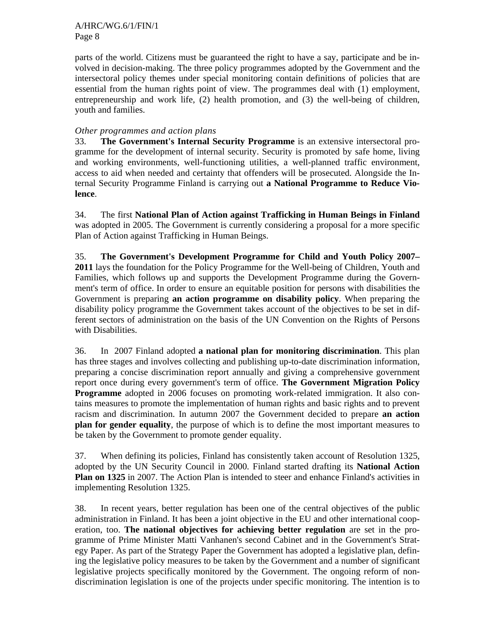parts of the world. Citizens must be guaranteed the right to have a say, participate and be involved in decision-making. The three policy programmes adopted by the Government and the intersectoral policy themes under special monitoring contain definitions of policies that are essential from the human rights point of view. The programmes deal with (1) employment, entrepreneurship and work life, (2) health promotion, and (3) the well-being of children, youth and families.

## *Other programmes and action plans*

33. **The Government's Internal Security Programme** is an extensive intersectoral programme for the development of internal security. Security is promoted by safe home, living and working environments, well-functioning utilities, a well-planned traffic environment, access to aid when needed and certainty that offenders will be prosecuted. Alongside the Internal Security Programme Finland is carrying out **a National Programme to Reduce Violence**.

34. The first **National Plan of Action against Trafficking in Human Beings in Finland**  was adopted in 2005. The Government is currently considering a proposal for a more specific Plan of Action against Trafficking in Human Beings.

35. **The Government's Development Programme for Child and Youth Policy 2007– 2011** lays the foundation for the Policy Programme for the Well-being of Children, Youth and Families, which follows up and supports the Development Programme during the Government's term of office. In order to ensure an equitable position for persons with disabilities the Government is preparing **an action programme on disability policy**. When preparing the disability policy programme the Government takes account of the objectives to be set in different sectors of administration on the basis of the UN Convention on the Rights of Persons with Disabilities.

36. In 2007 Finland adopted **a national plan for monitoring discrimination**. This plan has three stages and involves collecting and publishing up-to-date discrimination information, preparing a concise discrimination report annually and giving a comprehensive government report once during every government's term of office. **The Government Migration Policy Programme** adopted in 2006 focuses on promoting work-related immigration. It also contains measures to promote the implementation of human rights and basic rights and to prevent racism and discrimination. In autumn 2007 the Government decided to prepare **an action plan for gender equality**, the purpose of which is to define the most important measures to be taken by the Government to promote gender equality.

37. When defining its policies, Finland has consistently taken account of Resolution 1325, adopted by the UN Security Council in 2000. Finland started drafting its **National Action Plan on 1325** in 2007. The Action Plan is intended to steer and enhance Finland's activities in implementing Resolution 1325.

38. In recent years, better regulation has been one of the central objectives of the public administration in Finland. It has been a joint objective in the EU and other international cooperation, too. **The national objectives for achieving better regulation** are set in the programme of Prime Minister Matti Vanhanen's second Cabinet and in the Government's Strategy Paper. As part of the Strategy Paper the Government has adopted a legislative plan, defining the legislative policy measures to be taken by the Government and a number of significant legislative projects specifically monitored by the Government. The ongoing reform of nondiscrimination legislation is one of the projects under specific monitoring. The intention is to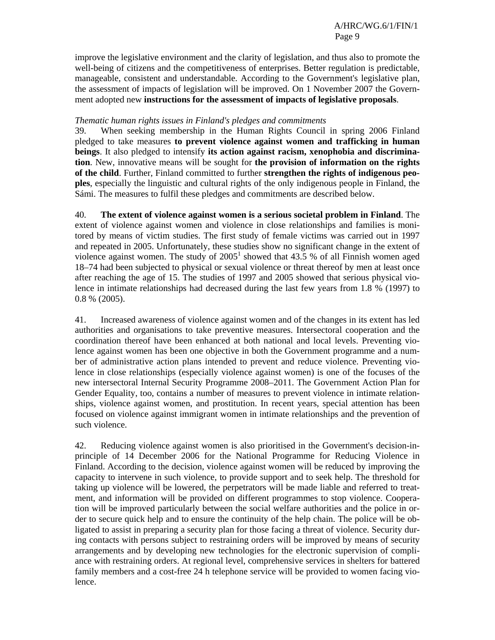improve the legislative environment and the clarity of legislation, and thus also to promote the well-being of citizens and the competitiveness of enterprises. Better regulation is predictable, manageable, consistent and understandable. According to the Government's legislative plan, the assessment of impacts of legislation will be improved. On 1 November 2007 the Government adopted new **instructions for the assessment of impacts of legislative proposals**.

## *Thematic human rights issues in Finland's pledges and commitments*

39. When seeking membership in the Human Rights Council in spring 2006 Finland pledged to take measures **to prevent violence against women and trafficking in human beings**. It also pledged to intensify **its action against racism, xenophobia and discrimination**. New, innovative means will be sought for **the provision of information on the rights of the child**. Further, Finland committed to further **strengthen the rights of indigenous peoples**, especially the linguistic and cultural rights of the only indigenous people in Finland, the Sámi. The measures to fulfil these pledges and commitments are described below.

40. **The extent of violence against women is a serious societal problem in Finland**. The extent of violence against women and violence in close relationships and families is monitored by means of victim studies. The first study of female victims was carried out in 1997 and repeated in 2005. Unfortunately, these studies show no significant change in the extent of violence against women. The study of  $2005<sup>1</sup>$  showed that 43.5 % of all Finnish women aged 18–74 had been subjected to physical or sexual violence or threat thereof by men at least once after reaching the age of 15. The studies of 1997 and 2005 showed that serious physical violence in intimate relationships had decreased during the last few years from 1.8 % (1997) to 0.8 % (2005).

41. Increased awareness of violence against women and of the changes in its extent has led authorities and organisations to take preventive measures. Intersectoral cooperation and the coordination thereof have been enhanced at both national and local levels. Preventing violence against women has been one objective in both the Government programme and a number of administrative action plans intended to prevent and reduce violence. Preventing violence in close relationships (especially violence against women) is one of the focuses of the new intersectoral Internal Security Programme 2008–2011. The Government Action Plan for Gender Equality, too, contains a number of measures to prevent violence in intimate relationships, violence against women, and prostitution. In recent years, special attention has been focused on violence against immigrant women in intimate relationships and the prevention of such violence.

42. Reducing violence against women is also prioritised in the Government's decision-inprinciple of 14 December 2006 for the National Programme for Reducing Violence in Finland. According to the decision, violence against women will be reduced by improving the capacity to intervene in such violence, to provide support and to seek help. The threshold for taking up violence will be lowered, the perpetrators will be made liable and referred to treatment, and information will be provided on different programmes to stop violence. Cooperation will be improved particularly between the social welfare authorities and the police in order to secure quick help and to ensure the continuity of the help chain. The police will be obligated to assist in preparing a security plan for those facing a threat of violence. Security during contacts with persons subject to restraining orders will be improved by means of security arrangements and by developing new technologies for the electronic supervision of compliance with restraining orders. At regional level, comprehensive services in shelters for battered family members and a cost-free 24 h telephone service will be provided to women facing violence.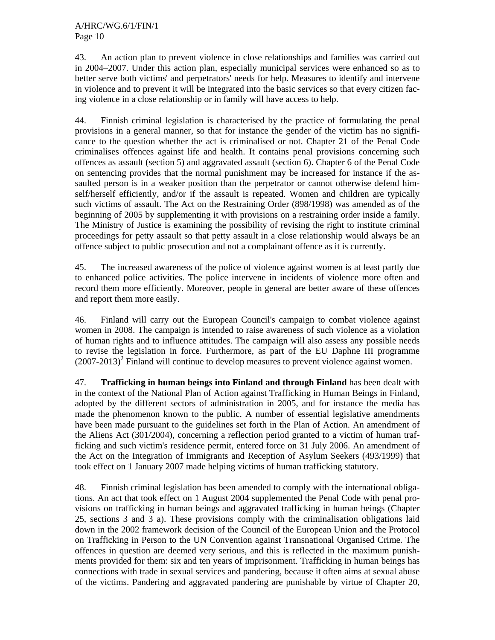43. An action plan to prevent violence in close relationships and families was carried out in 2004–2007. Under this action plan, especially municipal services were enhanced so as to better serve both victims' and perpetrators' needs for help. Measures to identify and intervene in violence and to prevent it will be integrated into the basic services so that every citizen facing violence in a close relationship or in family will have access to help.

44. Finnish criminal legislation is characterised by the practice of formulating the penal provisions in a general manner, so that for instance the gender of the victim has no significance to the question whether the act is criminalised or not. Chapter 21 of the Penal Code criminalises offences against life and health. It contains penal provisions concerning such offences as assault (section 5) and aggravated assault (section 6). Chapter 6 of the Penal Code on sentencing provides that the normal punishment may be increased for instance if the assaulted person is in a weaker position than the perpetrator or cannot otherwise defend himself/herself efficiently, and/or if the assault is repeated. Women and children are typically such victims of assault. The Act on the Restraining Order (898/1998) was amended as of the beginning of 2005 by supplementing it with provisions on a restraining order inside a family. The Ministry of Justice is examining the possibility of revising the right to institute criminal proceedings for petty assault so that petty assault in a close relationship would always be an offence subject to public prosecution and not a complainant offence as it is currently.

45. The increased awareness of the police of violence against women is at least partly due to enhanced police activities. The police intervene in incidents of violence more often and record them more efficiently. Moreover, people in general are better aware of these offences and report them more easily.

46. Finland will carry out the European Council's campaign to combat violence against women in 2008. The campaign is intended to raise awareness of such violence as a violation of human rights and to influence attitudes. The campaign will also assess any possible needs to revise the legislation in force. Furthermore, as part of the EU Daphne III programme  $(2007-2013)^2$  Finland will continue to develop measures to prevent violence against women.

47. **Trafficking in human beings into Finland and through Finland** has been dealt with in the context of the National Plan of Action against Trafficking in Human Beings in Finland, adopted by the different sectors of administration in 2005, and for instance the media has made the phenomenon known to the public. A number of essential legislative amendments have been made pursuant to the guidelines set forth in the Plan of Action. An amendment of the Aliens Act (301/2004), concerning a reflection period granted to a victim of human trafficking and such victim's residence permit, entered force on 31 July 2006. An amendment of the Act on the Integration of Immigrants and Reception of Asylum Seekers (493/1999) that took effect on 1 January 2007 made helping victims of human trafficking statutory.

48. Finnish criminal legislation has been amended to comply with the international obligations. An act that took effect on 1 August 2004 supplemented the Penal Code with penal provisions on trafficking in human beings and aggravated trafficking in human beings (Chapter 25, sections 3 and 3 a). These provisions comply with the criminalisation obligations laid down in the 2002 framework decision of the Council of the European Union and the Protocol on Trafficking in Person to the UN Convention against Transnational Organised Crime. The offences in question are deemed very serious, and this is reflected in the maximum punishments provided for them: six and ten years of imprisonment. Trafficking in human beings has connections with trade in sexual services and pandering, because it often aims at sexual abuse of the victims. Pandering and aggravated pandering are punishable by virtue of Chapter 20,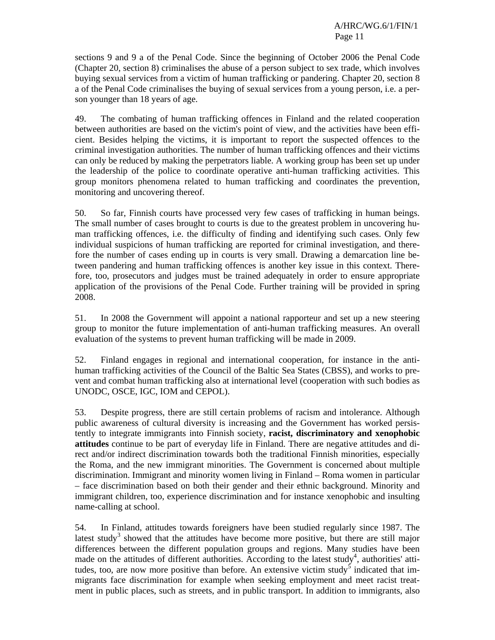sections 9 and 9 a of the Penal Code. Since the beginning of October 2006 the Penal Code (Chapter 20, section 8) criminalises the abuse of a person subject to sex trade, which involves buying sexual services from a victim of human trafficking or pandering. Chapter 20, section 8 a of the Penal Code criminalises the buying of sexual services from a young person, i.e. a person younger than 18 years of age.

49. The combating of human trafficking offences in Finland and the related cooperation between authorities are based on the victim's point of view, and the activities have been efficient. Besides helping the victims, it is important to report the suspected offences to the criminal investigation authorities. The number of human trafficking offences and their victims can only be reduced by making the perpetrators liable. A working group has been set up under the leadership of the police to coordinate operative anti-human trafficking activities. This group monitors phenomena related to human trafficking and coordinates the prevention, monitoring and uncovering thereof.

50. So far, Finnish courts have processed very few cases of trafficking in human beings. The small number of cases brought to courts is due to the greatest problem in uncovering human trafficking offences, i.e. the difficulty of finding and identifying such cases. Only few individual suspicions of human trafficking are reported for criminal investigation, and therefore the number of cases ending up in courts is very small. Drawing a demarcation line between pandering and human trafficking offences is another key issue in this context. Therefore, too, prosecutors and judges must be trained adequately in order to ensure appropriate application of the provisions of the Penal Code. Further training will be provided in spring 2008.

51. In 2008 the Government will appoint a national rapporteur and set up a new steering group to monitor the future implementation of anti-human trafficking measures. An overall evaluation of the systems to prevent human trafficking will be made in 2009.

52. Finland engages in regional and international cooperation, for instance in the antihuman trafficking activities of the Council of the Baltic Sea States (CBSS), and works to prevent and combat human trafficking also at international level (cooperation with such bodies as UNODC, OSCE, IGC, IOM and CEPOL).

53. Despite progress, there are still certain problems of racism and intolerance. Although public awareness of cultural diversity is increasing and the Government has worked persistently to integrate immigrants into Finnish society, **racist, discriminatory and xenophobic attitudes** continue to be part of everyday life in Finland. There are negative attitudes and direct and/or indirect discrimination towards both the traditional Finnish minorities, especially the Roma, and the new immigrant minorities. The Government is concerned about multiple discrimination. Immigrant and minority women living in Finland – Roma women in particular – face discrimination based on both their gender and their ethnic background. Minority and immigrant children, too, experience discrimination and for instance xenophobic and insulting name-calling at school.

54. In Finland, attitudes towards foreigners have been studied regularly since 1987. The latest study<sup>3</sup> showed that the attitudes have become more positive, but there are still major differences between the different population groups and regions. Many studies have been made on the attitudes of different authorities. According to the latest study<sup>4</sup>, authorities' attitudes, too, are now more positive than before. An extensive victim study<sup>5</sup> indicated that immigrants face discrimination for example when seeking employment and meet racist treatment in public places, such as streets, and in public transport. In addition to immigrants, also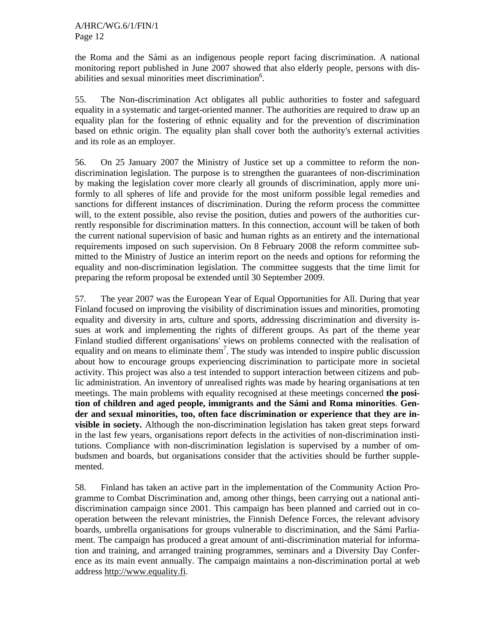the Roma and the Sámi as an indigenous people report facing discrimination. A national monitoring report published in June 2007 showed that also elderly people, persons with disabilities and sexual minorities meet discrimination<sup>6</sup>.

55. The Non-discrimination Act obligates all public authorities to foster and safeguard equality in a systematic and target-oriented manner. The authorities are required to draw up an equality plan for the fostering of ethnic equality and for the prevention of discrimination based on ethnic origin. The equality plan shall cover both the authority's external activities and its role as an employer.

56. On 25 January 2007 the Ministry of Justice set up a committee to reform the nondiscrimination legislation. The purpose is to strengthen the guarantees of non-discrimination by making the legislation cover more clearly all grounds of discrimination, apply more uniformly to all spheres of life and provide for the most uniform possible legal remedies and sanctions for different instances of discrimination. During the reform process the committee will, to the extent possible, also revise the position, duties and powers of the authorities currently responsible for discrimination matters. In this connection, account will be taken of both the current national supervision of basic and human rights as an entirety and the international requirements imposed on such supervision. On 8 February 2008 the reform committee submitted to the Ministry of Justice an interim report on the needs and options for reforming the equality and non-discrimination legislation. The committee suggests that the time limit for preparing the reform proposal be extended until 30 September 2009.

57. The year 2007 was the European Year of Equal Opportunities for All. During that year Finland focused on improving the visibility of discrimination issues and minorities, promoting equality and diversity in arts, culture and sports, addressing discrimination and diversity issues at work and implementing the rights of different groups. As part of the theme year Finland studied different organisations' views on problems connected with the realisation of equality and on means to eliminate them<sup>7</sup>. The study was intended to inspire public discussion about how to encourage groups experiencing discrimination to participate more in societal activity. This project was also a test intended to support interaction between citizens and public administration. An inventory of unrealised rights was made by hearing organisations at ten meetings. The main problems with equality recognised at these meetings concerned **the position of children and aged people, immigrants and the Sámi and Roma minorities**. **Gender and sexual minorities, too, often face discrimination or experience that they are invisible in society.** Although the non-discrimination legislation has taken great steps forward in the last few years, organisations report defects in the activities of non-discrimination institutions. Compliance with non-discrimination legislation is supervised by a number of ombudsmen and boards, but organisations consider that the activities should be further supplemented.

58. Finland has taken an active part in the implementation of the Community Action Programme to Combat Discrimination and, among other things, been carrying out a national antidiscrimination campaign since 2001. This campaign has been planned and carried out in cooperation between the relevant ministries, the Finnish Defence Forces, the relevant advisory boards, umbrella organisations for groups vulnerable to discrimination, and the Sámi Parliament. The campaign has produced a great amount of anti-discrimination material for information and training, and arranged training programmes, seminars and a Diversity Day Conference as its main event annually. The campaign maintains a non-discrimination portal at web address http://www.equality.fi.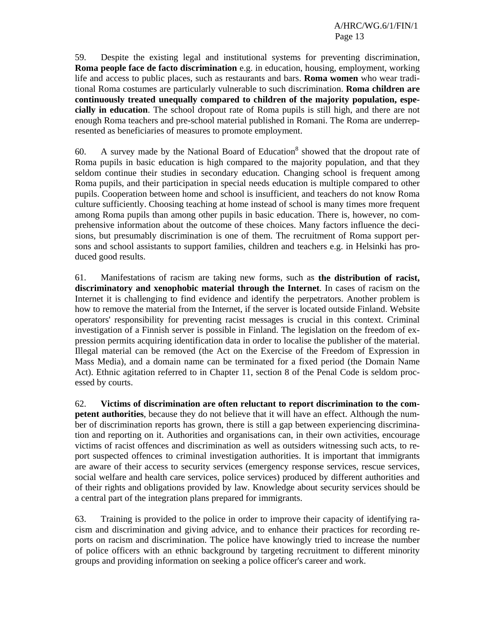59. Despite the existing legal and institutional systems for preventing discrimination, **Roma people face de facto discrimination** e.g. in education, housing, employment, working life and access to public places, such as restaurants and bars. **Roma women** who wear traditional Roma costumes are particularly vulnerable to such discrimination. **Roma children are continuously treated unequally compared to children of the majority population, especially in education**. The school dropout rate of Roma pupils is still high, and there are not enough Roma teachers and pre-school material published in Romani. The Roma are underrepresented as beneficiaries of measures to promote employment.

60. A survey made by the National Board of Education<sup>8</sup> showed that the dropout rate of Roma pupils in basic education is high compared to the majority population, and that they seldom continue their studies in secondary education. Changing school is frequent among Roma pupils, and their participation in special needs education is multiple compared to other pupils. Cooperation between home and school is insufficient, and teachers do not know Roma culture sufficiently. Choosing teaching at home instead of school is many times more frequent among Roma pupils than among other pupils in basic education. There is, however, no comprehensive information about the outcome of these choices. Many factors influence the decisions, but presumably discrimination is one of them. The recruitment of Roma support persons and school assistants to support families, children and teachers e.g. in Helsinki has produced good results.

61. Manifestations of racism are taking new forms, such as **the distribution of racist, discriminatory and xenophobic material through the Internet**. In cases of racism on the Internet it is challenging to find evidence and identify the perpetrators. Another problem is how to remove the material from the Internet, if the server is located outside Finland. Website operators' responsibility for preventing racist messages is crucial in this context. Criminal investigation of a Finnish server is possible in Finland. The legislation on the freedom of expression permits acquiring identification data in order to localise the publisher of the material. Illegal material can be removed (the Act on the Exercise of the Freedom of Expression in Mass Media), and a domain name can be terminated for a fixed period (the Domain Name Act). Ethnic agitation referred to in Chapter 11, section 8 of the Penal Code is seldom processed by courts.

62. **Victims of discrimination are often reluctant to report discrimination to the competent authorities**, because they do not believe that it will have an effect. Although the number of discrimination reports has grown, there is still a gap between experiencing discrimination and reporting on it. Authorities and organisations can, in their own activities, encourage victims of racist offences and discrimination as well as outsiders witnessing such acts, to report suspected offences to criminal investigation authorities. It is important that immigrants are aware of their access to security services (emergency response services, rescue services, social welfare and health care services, police services) produced by different authorities and of their rights and obligations provided by law. Knowledge about security services should be a central part of the integration plans prepared for immigrants.

63. Training is provided to the police in order to improve their capacity of identifying racism and discrimination and giving advice, and to enhance their practices for recording reports on racism and discrimination. The police have knowingly tried to increase the number of police officers with an ethnic background by targeting recruitment to different minority groups and providing information on seeking a police officer's career and work.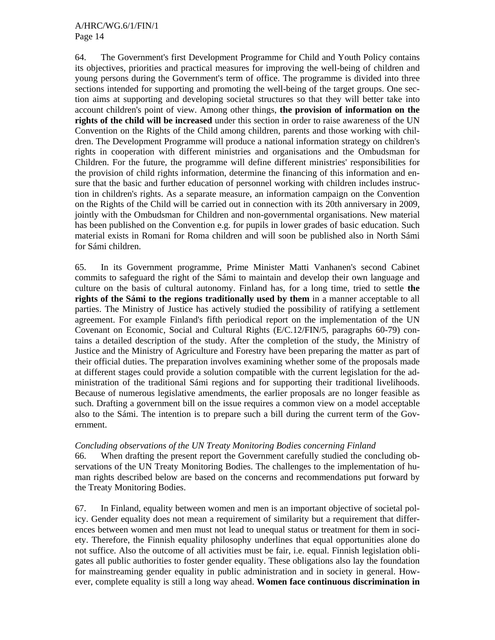64. The Government's first Development Programme for Child and Youth Policy contains its objectives, priorities and practical measures for improving the well-being of children and young persons during the Government's term of office. The programme is divided into three sections intended for supporting and promoting the well-being of the target groups. One section aims at supporting and developing societal structures so that they will better take into account children's point of view. Among other things, **the provision of information on the rights of the child will be increased** under this section in order to raise awareness of the UN Convention on the Rights of the Child among children, parents and those working with children. The Development Programme will produce a national information strategy on children's rights in cooperation with different ministries and organisations and the Ombudsman for Children. For the future, the programme will define different ministries' responsibilities for the provision of child rights information, determine the financing of this information and ensure that the basic and further education of personnel working with children includes instruction in children's rights. As a separate measure, an information campaign on the Convention on the Rights of the Child will be carried out in connection with its 20th anniversary in 2009, jointly with the Ombudsman for Children and non-governmental organisations. New material has been published on the Convention e.g. for pupils in lower grades of basic education. Such material exists in Romani for Roma children and will soon be published also in North Sámi for Sámi children.

65. In its Government programme, Prime Minister Matti Vanhanen's second Cabinet commits to safeguard the right of the Sámi to maintain and develop their own language and culture on the basis of cultural autonomy. Finland has, for a long time, tried to settle **the rights of the Sámi to the regions traditionally used by them** in a manner acceptable to all parties. The Ministry of Justice has actively studied the possibility of ratifying a settlement agreement. For example Finland's fifth periodical report on the implementation of the UN Covenant on Economic, Social and Cultural Rights (E/C.12/FIN/5, paragraphs 60-79) contains a detailed description of the study. After the completion of the study, the Ministry of Justice and the Ministry of Agriculture and Forestry have been preparing the matter as part of their official duties. The preparation involves examining whether some of the proposals made at different stages could provide a solution compatible with the current legislation for the administration of the traditional Sámi regions and for supporting their traditional livelihoods. Because of numerous legislative amendments, the earlier proposals are no longer feasible as such. Drafting a government bill on the issue requires a common view on a model acceptable also to the Sámi. The intention is to prepare such a bill during the current term of the Government.

## *Concluding observations of the UN Treaty Monitoring Bodies concerning Finland*

66. When drafting the present report the Government carefully studied the concluding observations of the UN Treaty Monitoring Bodies. The challenges to the implementation of human rights described below are based on the concerns and recommendations put forward by the Treaty Monitoring Bodies.

67. In Finland, equality between women and men is an important objective of societal policy. Gender equality does not mean a requirement of similarity but a requirement that differences between women and men must not lead to unequal status or treatment for them in society. Therefore, the Finnish equality philosophy underlines that equal opportunities alone do not suffice. Also the outcome of all activities must be fair, i.e. equal. Finnish legislation obligates all public authorities to foster gender equality. These obligations also lay the foundation for mainstreaming gender equality in public administration and in society in general. However, complete equality is still a long way ahead. **Women face continuous discrimination in**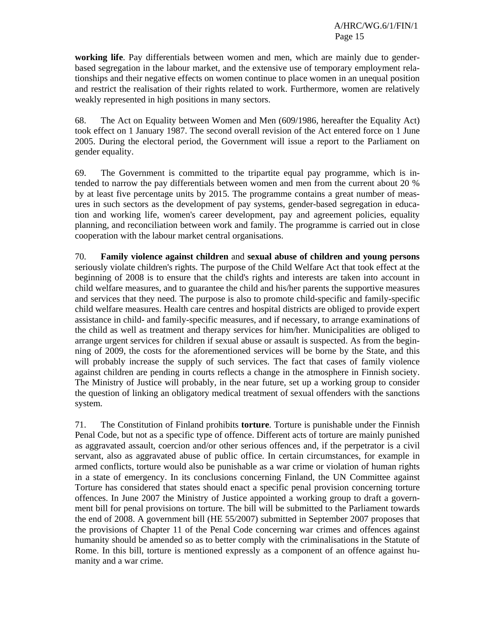**working life**. Pay differentials between women and men, which are mainly due to genderbased segregation in the labour market, and the extensive use of temporary employment relationships and their negative effects on women continue to place women in an unequal position and restrict the realisation of their rights related to work. Furthermore, women are relatively weakly represented in high positions in many sectors.

68. The Act on Equality between Women and Men (609/1986, hereafter the Equality Act) took effect on 1 January 1987. The second overall revision of the Act entered force on 1 June 2005. During the electoral period, the Government will issue a report to the Parliament on gender equality.

69. The Government is committed to the tripartite equal pay programme, which is intended to narrow the pay differentials between women and men from the current about 20 % by at least five percentage units by 2015. The programme contains a great number of measures in such sectors as the development of pay systems, gender-based segregation in education and working life, women's career development, pay and agreement policies, equality planning, and reconciliation between work and family. The programme is carried out in close cooperation with the labour market central organisations.

70. **Family violence against children** and **sexual abuse of children and young persons**  seriously violate children's rights. The purpose of the Child Welfare Act that took effect at the beginning of 2008 is to ensure that the child's rights and interests are taken into account in child welfare measures, and to guarantee the child and his/her parents the supportive measures and services that they need. The purpose is also to promote child-specific and family-specific child welfare measures. Health care centres and hospital districts are obliged to provide expert assistance in child- and family-specific measures, and if necessary, to arrange examinations of the child as well as treatment and therapy services for him/her. Municipalities are obliged to arrange urgent services for children if sexual abuse or assault is suspected. As from the beginning of 2009, the costs for the aforementioned services will be borne by the State, and this will probably increase the supply of such services. The fact that cases of family violence against children are pending in courts reflects a change in the atmosphere in Finnish society. The Ministry of Justice will probably, in the near future, set up a working group to consider the question of linking an obligatory medical treatment of sexual offenders with the sanctions system.

71. The Constitution of Finland prohibits **torture**. Torture is punishable under the Finnish Penal Code, but not as a specific type of offence. Different acts of torture are mainly punished as aggravated assault, coercion and/or other serious offences and, if the perpetrator is a civil servant, also as aggravated abuse of public office. In certain circumstances, for example in armed conflicts, torture would also be punishable as a war crime or violation of human rights in a state of emergency. In its conclusions concerning Finland, the UN Committee against Torture has considered that states should enact a specific penal provision concerning torture offences. In June 2007 the Ministry of Justice appointed a working group to draft a government bill for penal provisions on torture. The bill will be submitted to the Parliament towards the end of 2008. A government bill (HE 55/2007) submitted in September 2007 proposes that the provisions of Chapter 11 of the Penal Code concerning war crimes and offences against humanity should be amended so as to better comply with the criminalisations in the Statute of Rome. In this bill, torture is mentioned expressly as a component of an offence against humanity and a war crime.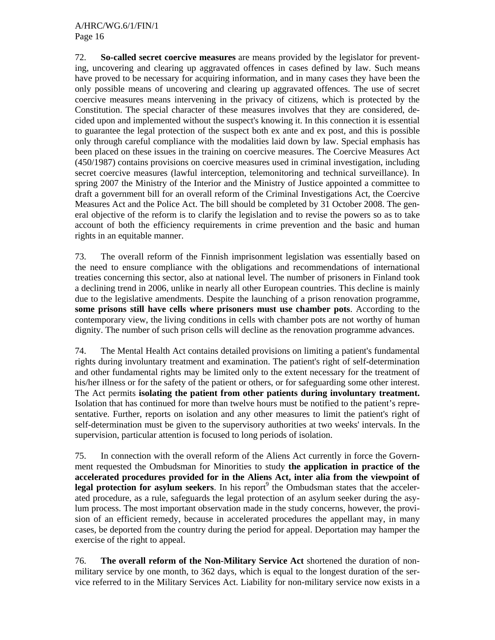72. **So-called secret coercive measures** are means provided by the legislator for preventing, uncovering and clearing up aggravated offences in cases defined by law. Such means have proved to be necessary for acquiring information, and in many cases they have been the only possible means of uncovering and clearing up aggravated offences. The use of secret coercive measures means intervening in the privacy of citizens, which is protected by the Constitution. The special character of these measures involves that they are considered, decided upon and implemented without the suspect's knowing it. In this connection it is essential to guarantee the legal protection of the suspect both ex ante and ex post, and this is possible only through careful compliance with the modalities laid down by law. Special emphasis has been placed on these issues in the training on coercive measures. The Coercive Measures Act (450/1987) contains provisions on coercive measures used in criminal investigation, including secret coercive measures (lawful interception, telemonitoring and technical surveillance). In spring 2007 the Ministry of the Interior and the Ministry of Justice appointed a committee to draft a government bill for an overall reform of the Criminal Investigations Act, the Coercive Measures Act and the Police Act. The bill should be completed by 31 October 2008. The general objective of the reform is to clarify the legislation and to revise the powers so as to take account of both the efficiency requirements in crime prevention and the basic and human rights in an equitable manner.

73. The overall reform of the Finnish imprisonment legislation was essentially based on the need to ensure compliance with the obligations and recommendations of international treaties concerning this sector, also at national level. The number of prisoners in Finland took a declining trend in 2006, unlike in nearly all other European countries. This decline is mainly due to the legislative amendments. Despite the launching of a prison renovation programme, **some prisons still have cells where prisoners must use chamber pots**. According to the contemporary view, the living conditions in cells with chamber pots are not worthy of human dignity. The number of such prison cells will decline as the renovation programme advances.

74. The Mental Health Act contains detailed provisions on limiting a patient's fundamental rights during involuntary treatment and examination. The patient's right of self-determination and other fundamental rights may be limited only to the extent necessary for the treatment of his/her illness or for the safety of the patient or others, or for safeguarding some other interest. The Act permits **isolating the patient from other patients during involuntary treatment.** Isolation that has continued for more than twelve hours must be notified to the patient's representative. Further, reports on isolation and any other measures to limit the patient's right of self-determination must be given to the supervisory authorities at two weeks' intervals. In the supervision, particular attention is focused to long periods of isolation.

75. In connection with the overall reform of the Aliens Act currently in force the Government requested the Ombudsman for Minorities to study **the application in practice of the accelerated procedures provided for in the Aliens Act, inter alia from the viewpoint of**  legal protection for asylum seekers. In his report<sup>9</sup> the Ombudsman states that the accelerated procedure, as a rule, safeguards the legal protection of an asylum seeker during the asylum process. The most important observation made in the study concerns, however, the provision of an efficient remedy, because in accelerated procedures the appellant may, in many cases, be deported from the country during the period for appeal. Deportation may hamper the exercise of the right to appeal.

76. **The overall reform of the Non-Military Service Act** shortened the duration of nonmilitary service by one month, to 362 days, which is equal to the longest duration of the service referred to in the Military Services Act. Liability for non-military service now exists in a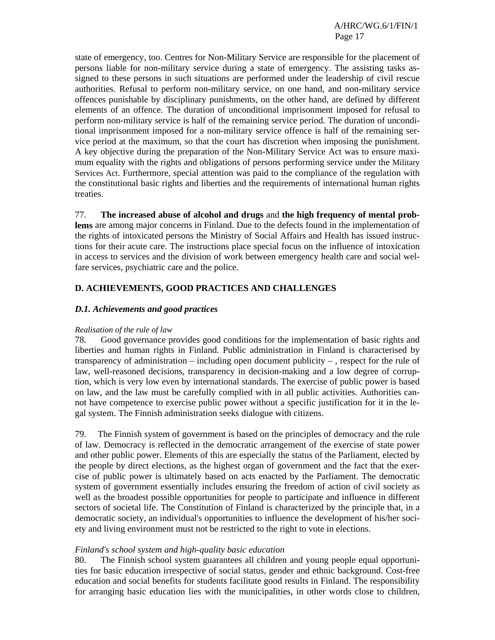state of emergency, too. Centres for Non-Military Service are responsible for the placement of persons liable for non-military service during a state of emergency. The assisting tasks assigned to these persons in such situations are performed under the leadership of civil rescue authorities. Refusal to perform non-military service, on one hand, and non-military service offences punishable by disciplinary punishments, on the other hand, are defined by different elements of an offence. The duration of unconditional imprisonment imposed for refusal to perform non-military service is half of the remaining service period. The duration of unconditional imprisonment imposed for a non-military service offence is half of the remaining service period at the maximum, so that the court has discretion when imposing the punishment. A key objective during the preparation of the Non-Military Service Act was to ensure maximum equality with the rights and obligations of persons performing service under the Military Services Act. Furthermore, special attention was paid to the compliance of the regulation with the constitutional basic rights and liberties and the requirements of international human rights treaties.

77. **The increased abuse of alcohol and drugs** and **the high frequency of mental problems** are among major concerns in Finland. Due to the defects found in the implementation of the rights of intoxicated persons the Ministry of Social Affairs and Health has issued instructions for their acute care. The instructions place special focus on the influence of intoxication in access to services and the division of work between emergency health care and social welfare services, psychiatric care and the police.

## **D. ACHIEVEMENTS, GOOD PRACTICES AND CHALLENGES**

### *D.1. Achievements and good practices*

#### *Realisation of the rule of law*

78. Good governance provides good conditions for the implementation of basic rights and liberties and human rights in Finland. Public administration in Finland is characterised by transparency of administration – including open document publicity – , respect for the rule of law, well-reasoned decisions, transparency in decision-making and a low degree of corruption, which is very low even by international standards. The exercise of public power is based on law, and the law must be carefully complied with in all public activities. Authorities cannot have competence to exercise public power without a specific justification for it in the legal system. The Finnish administration seeks dialogue with citizens.

79. The Finnish system of government is based on the principles of democracy and the rule of law. Democracy is reflected in the democratic arrangement of the exercise of state power and other public power. Elements of this are especially the status of the Parliament, elected by the people by direct elections, as the highest organ of government and the fact that the exercise of public power is ultimately based on acts enacted by the Parliament. The democratic system of government essentially includes ensuring the freedom of action of civil society as well as the broadest possible opportunities for people to participate and influence in different sectors of societal life. The Constitution of Finland is characterized by the principle that, in a democratic society, an individual's opportunities to influence the development of his/her society and living environment must not be restricted to the right to vote in elections.

#### *Finland's school system and high-quality basic education*

80. The Finnish school system guarantees all children and young people equal opportunities for basic education irrespective of social status, gender and ethnic background. Cost-free education and social benefits for students facilitate good results in Finland. The responsibility for arranging basic education lies with the municipalities, in other words close to children,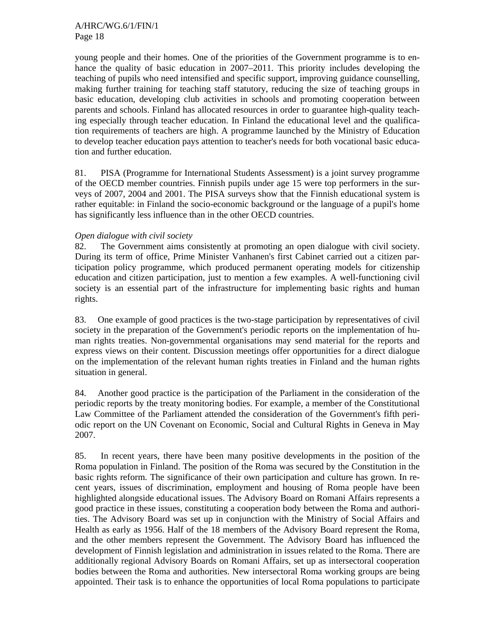young people and their homes. One of the priorities of the Government programme is to enhance the quality of basic education in 2007–2011. This priority includes developing the teaching of pupils who need intensified and specific support, improving guidance counselling, making further training for teaching staff statutory, reducing the size of teaching groups in basic education, developing club activities in schools and promoting cooperation between parents and schools. Finland has allocated resources in order to guarantee high-quality teaching especially through teacher education. In Finland the educational level and the qualification requirements of teachers are high. A programme launched by the Ministry of Education to develop teacher education pays attention to teacher's needs for both vocational basic education and further education.

81. PISA (Programme for International Students Assessment) is a joint survey programme of the OECD member countries. Finnish pupils under age 15 were top performers in the surveys of 2007, 2004 and 2001. The PISA surveys show that the Finnish educational system is rather equitable: in Finland the socio-economic background or the language of a pupil's home has significantly less influence than in the other OECD countries.

## *Open dialogue with civil society*

82. The Government aims consistently at promoting an open dialogue with civil society. During its term of office, Prime Minister Vanhanen's first Cabinet carried out a citizen participation policy programme, which produced permanent operating models for citizenship education and citizen participation, just to mention a few examples. A well-functioning civil society is an essential part of the infrastructure for implementing basic rights and human rights.

83. One example of good practices is the two-stage participation by representatives of civil society in the preparation of the Government's periodic reports on the implementation of human rights treaties. Non-governmental organisations may send material for the reports and express views on their content. Discussion meetings offer opportunities for a direct dialogue on the implementation of the relevant human rights treaties in Finland and the human rights situation in general.

84. Another good practice is the participation of the Parliament in the consideration of the periodic reports by the treaty monitoring bodies. For example, a member of the Constitutional Law Committee of the Parliament attended the consideration of the Government's fifth periodic report on the UN Covenant on Economic, Social and Cultural Rights in Geneva in May 2007.

85. In recent years, there have been many positive developments in the position of the Roma population in Finland. The position of the Roma was secured by the Constitution in the basic rights reform. The significance of their own participation and culture has grown. In recent years, issues of discrimination, employment and housing of Roma people have been highlighted alongside educational issues. The Advisory Board on Romani Affairs represents a good practice in these issues, constituting a cooperation body between the Roma and authorities. The Advisory Board was set up in conjunction with the Ministry of Social Affairs and Health as early as 1956. Half of the 18 members of the Advisory Board represent the Roma, and the other members represent the Government. The Advisory Board has influenced the development of Finnish legislation and administration in issues related to the Roma. There are additionally regional Advisory Boards on Romani Affairs, set up as intersectoral cooperation bodies between the Roma and authorities. New intersectoral Roma working groups are being appointed. Their task is to enhance the opportunities of local Roma populations to participate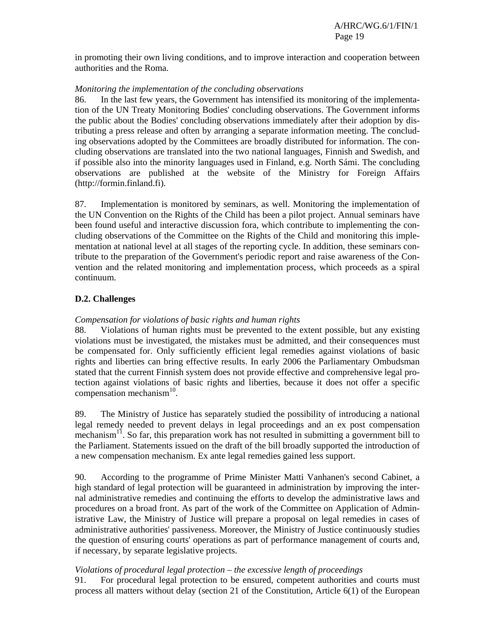in promoting their own living conditions, and to improve interaction and cooperation between authorities and the Roma.

## *Monitoring the implementation of the concluding observations*

86. In the last few years, the Government has intensified its monitoring of the implementation of the UN Treaty Monitoring Bodies' concluding observations. The Government informs the public about the Bodies' concluding observations immediately after their adoption by distributing a press release and often by arranging a separate information meeting. The concluding observations adopted by the Committees are broadly distributed for information. The concluding observations are translated into the two national languages, Finnish and Swedish, and if possible also into the minority languages used in Finland, e.g. North Sámi. The concluding observations are published at the website of the Ministry for Foreign Affairs (http://formin.finland.fi).

87. Implementation is monitored by seminars, as well. Monitoring the implementation of the UN Convention on the Rights of the Child has been a pilot project. Annual seminars have been found useful and interactive discussion fora, which contribute to implementing the concluding observations of the Committee on the Rights of the Child and monitoring this implementation at national level at all stages of the reporting cycle. In addition, these seminars contribute to the preparation of the Government's periodic report and raise awareness of the Convention and the related monitoring and implementation process, which proceeds as a spiral continuum.

# **D.2. Challenges**

## *Compensation for violations of basic rights and human rights*

88. Violations of human rights must be prevented to the extent possible, but any existing violations must be investigated, the mistakes must be admitted, and their consequences must be compensated for. Only sufficiently efficient legal remedies against violations of basic rights and liberties can bring effective results. In early 2006 the Parliamentary Ombudsman stated that the current Finnish system does not provide effective and comprehensive legal protection against violations of basic rights and liberties, because it does not offer a specific compensation mechanism<sup>10</sup>.

89. The Ministry of Justice has separately studied the possibility of introducing a national legal remedy needed to prevent delays in legal proceedings and an ex post compensation mechanism<sup>11</sup>. So far, this preparation work has not resulted in submitting a government bill to the Parliament. Statements issued on the draft of the bill broadly supported the introduction of a new compensation mechanism. Ex ante legal remedies gained less support.

90. According to the programme of Prime Minister Matti Vanhanen's second Cabinet, a high standard of legal protection will be guaranteed in administration by improving the internal administrative remedies and continuing the efforts to develop the administrative laws and procedures on a broad front. As part of the work of the Committee on Application of Administrative Law, the Ministry of Justice will prepare a proposal on legal remedies in cases of administrative authorities' passiveness. Moreover, the Ministry of Justice continuously studies the question of ensuring courts' operations as part of performance management of courts and, if necessary, by separate legislative projects.

## *Violations of procedural legal protection – the excessive length of proceedings*

91. For procedural legal protection to be ensured, competent authorities and courts must process all matters without delay (section 21 of the Constitution, Article 6(1) of the European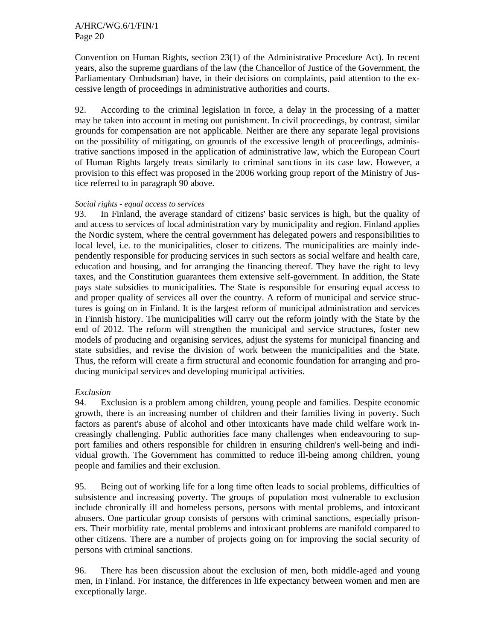Convention on Human Rights, section 23(1) of the Administrative Procedure Act). In recent years, also the supreme guardians of the law (the Chancellor of Justice of the Government, the Parliamentary Ombudsman) have, in their decisions on complaints, paid attention to the excessive length of proceedings in administrative authorities and courts.

92. According to the criminal legislation in force, a delay in the processing of a matter may be taken into account in meting out punishment. In civil proceedings, by contrast, similar grounds for compensation are not applicable. Neither are there any separate legal provisions on the possibility of mitigating, on grounds of the excessive length of proceedings, administrative sanctions imposed in the application of administrative law, which the European Court of Human Rights largely treats similarly to criminal sanctions in its case law. However, a provision to this effect was proposed in the 2006 working group report of the Ministry of Justice referred to in paragraph 90 above.

### *Social rights - equal access to services*

93. In Finland, the average standard of citizens' basic services is high, but the quality of and access to services of local administration vary by municipality and region. Finland applies the Nordic system, where the central government has delegated powers and responsibilities to local level, i.e. to the municipalities, closer to citizens. The municipalities are mainly independently responsible for producing services in such sectors as social welfare and health care, education and housing, and for arranging the financing thereof. They have the right to levy taxes, and the Constitution guarantees them extensive self-government. In addition, the State pays state subsidies to municipalities. The State is responsible for ensuring equal access to and proper quality of services all over the country. A reform of municipal and service structures is going on in Finland. It is the largest reform of municipal administration and services in Finnish history. The municipalities will carry out the reform jointly with the State by the end of 2012. The reform will strengthen the municipal and service structures, foster new models of producing and organising services, adjust the systems for municipal financing and state subsidies, and revise the division of work between the municipalities and the State. Thus, the reform will create a firm structural and economic foundation for arranging and producing municipal services and developing municipal activities.

### *Exclusion*

94. Exclusion is a problem among children, young people and families. Despite economic growth, there is an increasing number of children and their families living in poverty. Such factors as parent's abuse of alcohol and other intoxicants have made child welfare work increasingly challenging. Public authorities face many challenges when endeavouring to support families and others responsible for children in ensuring children's well-being and individual growth. The Government has committed to reduce ill-being among children, young people and families and their exclusion.

95. Being out of working life for a long time often leads to social problems, difficulties of subsistence and increasing poverty. The groups of population most vulnerable to exclusion include chronically ill and homeless persons, persons with mental problems, and intoxicant abusers. One particular group consists of persons with criminal sanctions, especially prisoners. Their morbidity rate, mental problems and intoxicant problems are manifold compared to other citizens. There are a number of projects going on for improving the social security of persons with criminal sanctions.

96. There has been discussion about the exclusion of men, both middle-aged and young men, in Finland. For instance, the differences in life expectancy between women and men are exceptionally large.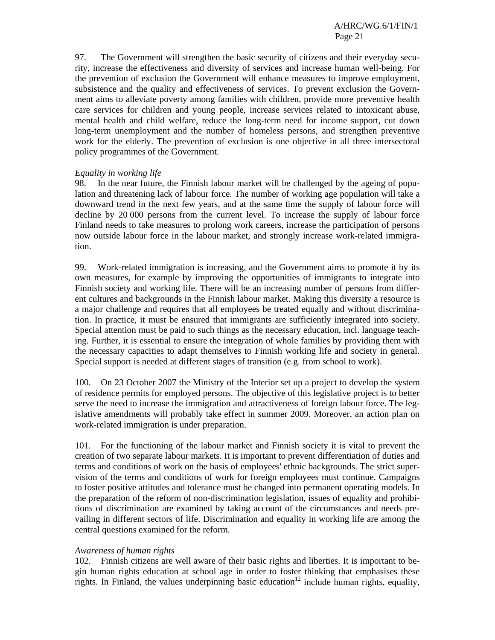97. The Government will strengthen the basic security of citizens and their everyday security, increase the effectiveness and diversity of services and increase human well-being. For the prevention of exclusion the Government will enhance measures to improve employment, subsistence and the quality and effectiveness of services. To prevent exclusion the Government aims to alleviate poverty among families with children, provide more preventive health care services for children and young people, increase services related to intoxicant abuse, mental health and child welfare, reduce the long-term need for income support, cut down long-term unemployment and the number of homeless persons, and strengthen preventive work for the elderly. The prevention of exclusion is one objective in all three intersectoral policy programmes of the Government.

## *Equality in working life*

98. In the near future, the Finnish labour market will be challenged by the ageing of population and threatening lack of labour force. The number of working age population will take a downward trend in the next few years, and at the same time the supply of labour force will decline by 20 000 persons from the current level. To increase the supply of labour force Finland needs to take measures to prolong work careers, increase the participation of persons now outside labour force in the labour market, and strongly increase work-related immigration.

99. Work-related immigration is increasing, and the Government aims to promote it by its own measures, for example by improving the opportunities of immigrants to integrate into Finnish society and working life. There will be an increasing number of persons from different cultures and backgrounds in the Finnish labour market. Making this diversity a resource is a major challenge and requires that all employees be treated equally and without discrimination. In practice, it must be ensured that immigrants are sufficiently integrated into society. Special attention must be paid to such things as the necessary education, incl. language teaching. Further, it is essential to ensure the integration of whole families by providing them with the necessary capacities to adapt themselves to Finnish working life and society in general. Special support is needed at different stages of transition (e.g. from school to work).

100. On 23 October 2007 the Ministry of the Interior set up a project to develop the system of residence permits for employed persons. The objective of this legislative project is to better serve the need to increase the immigration and attractiveness of foreign labour force. The legislative amendments will probably take effect in summer 2009. Moreover, an action plan on work-related immigration is under preparation.

101. For the functioning of the labour market and Finnish society it is vital to prevent the creation of two separate labour markets. It is important to prevent differentiation of duties and terms and conditions of work on the basis of employees' ethnic backgrounds. The strict supervision of the terms and conditions of work for foreign employees must continue. Campaigns to foster positive attitudes and tolerance must be changed into permanent operating models. In the preparation of the reform of non-discrimination legislation, issues of equality and prohibitions of discrimination are examined by taking account of the circumstances and needs prevailing in different sectors of life. Discrimination and equality in working life are among the central questions examined for the reform.

### *Awareness of human rights*

102. Finnish citizens are well aware of their basic rights and liberties. It is important to begin human rights education at school age in order to foster thinking that emphasises these rights. In Finland, the values underpinning basic education<sup>12</sup> include human rights, equality,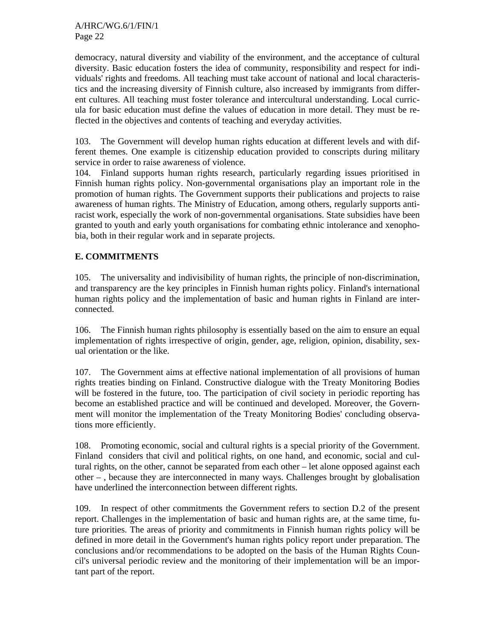democracy, natural diversity and viability of the environment, and the acceptance of cultural diversity. Basic education fosters the idea of community, responsibility and respect for individuals' rights and freedoms. All teaching must take account of national and local characteristics and the increasing diversity of Finnish culture, also increased by immigrants from different cultures. All teaching must foster tolerance and intercultural understanding. Local curricula for basic education must define the values of education in more detail. They must be reflected in the objectives and contents of teaching and everyday activities.

103. The Government will develop human rights education at different levels and with different themes. One example is citizenship education provided to conscripts during military service in order to raise awareness of violence.

104. Finland supports human rights research, particularly regarding issues prioritised in Finnish human rights policy. Non-governmental organisations play an important role in the promotion of human rights. The Government supports their publications and projects to raise awareness of human rights. The Ministry of Education, among others, regularly supports antiracist work, especially the work of non-governmental organisations. State subsidies have been granted to youth and early youth organisations for combating ethnic intolerance and xenophobia, both in their regular work and in separate projects.

# **E. COMMITMENTS**

105. The universality and indivisibility of human rights, the principle of non-discrimination, and transparency are the key principles in Finnish human rights policy. Finland's international human rights policy and the implementation of basic and human rights in Finland are interconnected.

106. The Finnish human rights philosophy is essentially based on the aim to ensure an equal implementation of rights irrespective of origin, gender, age, religion, opinion, disability, sexual orientation or the like.

107. The Government aims at effective national implementation of all provisions of human rights treaties binding on Finland. Constructive dialogue with the Treaty Monitoring Bodies will be fostered in the future, too. The participation of civil society in periodic reporting has become an established practice and will be continued and developed. Moreover, the Government will monitor the implementation of the Treaty Monitoring Bodies' concluding observations more efficiently.

108. Promoting economic, social and cultural rights is a special priority of the Government. Finland considers that civil and political rights, on one hand, and economic, social and cultural rights, on the other, cannot be separated from each other – let alone opposed against each other – , because they are interconnected in many ways. Challenges brought by globalisation have underlined the interconnection between different rights.

109. In respect of other commitments the Government refers to section D.2 of the present report. Challenges in the implementation of basic and human rights are, at the same time, future priorities. The areas of priority and commitments in Finnish human rights policy will be defined in more detail in the Government's human rights policy report under preparation. The conclusions and/or recommendations to be adopted on the basis of the Human Rights Council's universal periodic review and the monitoring of their implementation will be an important part of the report.